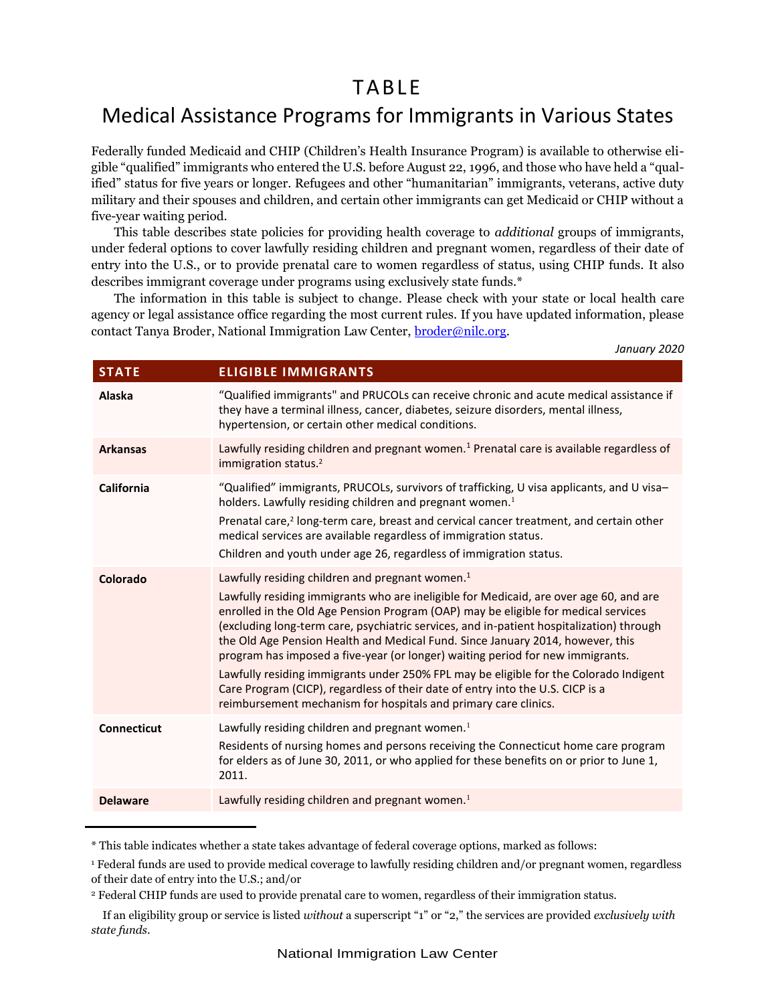# TA BLE

# Medical Assistance Programs for Immigrants in Various States

Federally funded Medicaid and CHIP (Children's Health Insurance Program) is available to otherwise eligible "qualified" immigrants who entered the U.S. before August 22, 1996, and those who have held a "qualified" status for five years or longer. Refugees and other "humanitarian" immigrants, veterans, active duty military and their spouses and children, and certain other immigrants can get Medicaid or CHIP without a five-year waiting period.

This table describes state policies for providing health coverage to *additional* groups of immigrants, under federal options to cover lawfully residing children and pregnant women, regardless of their date of entry into the U.S., or to provide prenatal care to women regardless of status, using CHIP funds. It also describes immigrant coverage under programs using exclusively state funds.\*

The information in this table is subject to change. Please check with your state or local health care agency or legal assistance office regarding the most current rules. If you have updated information, please contact Tanya Broder, National Immigration Law Center, [broder@nilc.org.](mailto:broder@nilc.org)

*January 2020*

| <b>STATE</b>       | <b>ELIGIBLE IMMIGRANTS</b>                                                                                                                                                                                                                                                                                                                                                                                                                                                                                                                                                                                                                                                                                                                                |
|--------------------|-----------------------------------------------------------------------------------------------------------------------------------------------------------------------------------------------------------------------------------------------------------------------------------------------------------------------------------------------------------------------------------------------------------------------------------------------------------------------------------------------------------------------------------------------------------------------------------------------------------------------------------------------------------------------------------------------------------------------------------------------------------|
| Alaska             | "Qualified immigrants" and PRUCOLs can receive chronic and acute medical assistance if<br>they have a terminal illness, cancer, diabetes, seizure disorders, mental illness,<br>hypertension, or certain other medical conditions.                                                                                                                                                                                                                                                                                                                                                                                                                                                                                                                        |
| <b>Arkansas</b>    | Lawfully residing children and pregnant women. <sup>1</sup> Prenatal care is available regardless of<br>immigration status. <sup>2</sup>                                                                                                                                                                                                                                                                                                                                                                                                                                                                                                                                                                                                                  |
| <b>California</b>  | "Qualified" immigrants, PRUCOLs, survivors of trafficking, U visa applicants, and U visa-<br>holders. Lawfully residing children and pregnant women. <sup>1</sup><br>Prenatal care, <sup>2</sup> long-term care, breast and cervical cancer treatment, and certain other<br>medical services are available regardless of immigration status.<br>Children and youth under age 26, regardless of immigration status.                                                                                                                                                                                                                                                                                                                                        |
| Colorado           | Lawfully residing children and pregnant women. <sup>1</sup><br>Lawfully residing immigrants who are ineligible for Medicaid, are over age 60, and are<br>enrolled in the Old Age Pension Program (OAP) may be eligible for medical services<br>(excluding long-term care, psychiatric services, and in-patient hospitalization) through<br>the Old Age Pension Health and Medical Fund. Since January 2014, however, this<br>program has imposed a five-year (or longer) waiting period for new immigrants.<br>Lawfully residing immigrants under 250% FPL may be eligible for the Colorado Indigent<br>Care Program (CICP), regardless of their date of entry into the U.S. CICP is a<br>reimbursement mechanism for hospitals and primary care clinics. |
| <b>Connecticut</b> | Lawfully residing children and pregnant women. <sup>1</sup><br>Residents of nursing homes and persons receiving the Connecticut home care program<br>for elders as of June 30, 2011, or who applied for these benefits on or prior to June 1,<br>2011.                                                                                                                                                                                                                                                                                                                                                                                                                                                                                                    |
| <b>Delaware</b>    | Lawfully residing children and pregnant women. <sup>1</sup>                                                                                                                                                                                                                                                                                                                                                                                                                                                                                                                                                                                                                                                                                               |

<sup>\*</sup> This table indicates whether a state takes advantage of federal coverage options, marked as follows:

<sup>1</sup> Federal funds are used to provide medical coverage to lawfully residing children and/or pregnant women, regardless of their date of entry into the U.S.; and/or

<sup>2</sup> Federal CHIP funds are used to provide prenatal care to women, regardless of their immigration status.

If an eligibility group or service is listed *without* a superscript "1" or "2," the services are provided *exclusively with state funds*.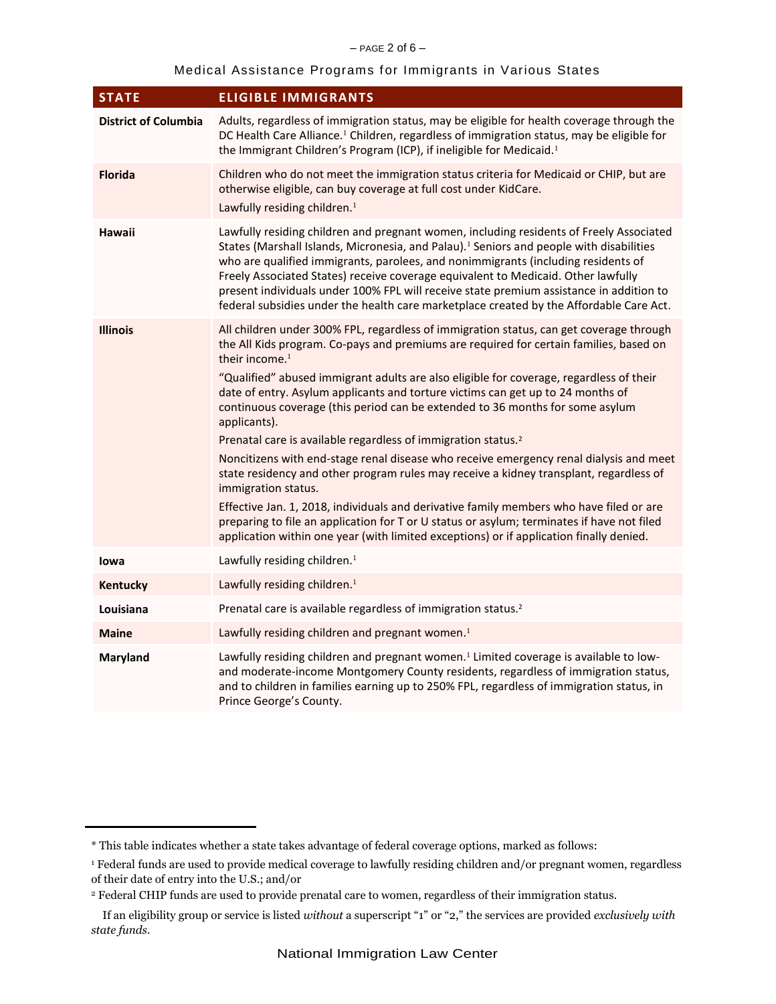# Medical Assistance Programs for Immigrants in Various States

| <b>ELIGIBLE IMMIGRANTS</b>                                                                                                                                                                                                                                                                                                                                                                                                                                                                                                                                                                                                                                                                                                                                                                                                                                                                                                                                                                                                                                                 |
|----------------------------------------------------------------------------------------------------------------------------------------------------------------------------------------------------------------------------------------------------------------------------------------------------------------------------------------------------------------------------------------------------------------------------------------------------------------------------------------------------------------------------------------------------------------------------------------------------------------------------------------------------------------------------------------------------------------------------------------------------------------------------------------------------------------------------------------------------------------------------------------------------------------------------------------------------------------------------------------------------------------------------------------------------------------------------|
| Adults, regardless of immigration status, may be eligible for health coverage through the<br>DC Health Care Alliance. <sup>1</sup> Children, regardless of immigration status, may be eligible for<br>the Immigrant Children's Program (ICP), if ineligible for Medicaid. <sup>1</sup>                                                                                                                                                                                                                                                                                                                                                                                                                                                                                                                                                                                                                                                                                                                                                                                     |
| Children who do not meet the immigration status criteria for Medicaid or CHIP, but are<br>otherwise eligible, can buy coverage at full cost under KidCare.<br>Lawfully residing children. <sup>1</sup>                                                                                                                                                                                                                                                                                                                                                                                                                                                                                                                                                                                                                                                                                                                                                                                                                                                                     |
| Lawfully residing children and pregnant women, including residents of Freely Associated<br>States (Marshall Islands, Micronesia, and Palau). <sup>1</sup> Seniors and people with disabilities<br>who are qualified immigrants, parolees, and nonimmigrants (including residents of<br>Freely Associated States) receive coverage equivalent to Medicaid. Other lawfully<br>present individuals under 100% FPL will receive state premium assistance in addition to<br>federal subsidies under the health care marketplace created by the Affordable Care Act.                                                                                                                                                                                                                                                                                                                                                                                                                                                                                                             |
| All children under 300% FPL, regardless of immigration status, can get coverage through<br>the All Kids program. Co-pays and premiums are required for certain families, based on<br>their income. <sup>1</sup><br>"Qualified" abused immigrant adults are also eligible for coverage, regardless of their<br>date of entry. Asylum applicants and torture victims can get up to 24 months of<br>continuous coverage (this period can be extended to 36 months for some asylum<br>applicants).<br>Prenatal care is available regardless of immigration status. <sup>2</sup><br>Noncitizens with end-stage renal disease who receive emergency renal dialysis and meet<br>state residency and other program rules may receive a kidney transplant, regardless of<br>immigration status.<br>Effective Jan. 1, 2018, individuals and derivative family members who have filed or are<br>preparing to file an application for T or U status or asylum; terminates if have not filed<br>application within one year (with limited exceptions) or if application finally denied. |
| Lawfully residing children. <sup>1</sup>                                                                                                                                                                                                                                                                                                                                                                                                                                                                                                                                                                                                                                                                                                                                                                                                                                                                                                                                                                                                                                   |
| Lawfully residing children. <sup>1</sup>                                                                                                                                                                                                                                                                                                                                                                                                                                                                                                                                                                                                                                                                                                                                                                                                                                                                                                                                                                                                                                   |
| Prenatal care is available regardless of immigration status. <sup>2</sup>                                                                                                                                                                                                                                                                                                                                                                                                                                                                                                                                                                                                                                                                                                                                                                                                                                                                                                                                                                                                  |
| Lawfully residing children and pregnant women. <sup>1</sup>                                                                                                                                                                                                                                                                                                                                                                                                                                                                                                                                                                                                                                                                                                                                                                                                                                                                                                                                                                                                                |
| Lawfully residing children and pregnant women. <sup>1</sup> Limited coverage is available to low-<br>and moderate-income Montgomery County residents, regardless of immigration status,<br>and to children in families earning up to 250% FPL, regardless of immigration status, in<br>Prince George's County.                                                                                                                                                                                                                                                                                                                                                                                                                                                                                                                                                                                                                                                                                                                                                             |
|                                                                                                                                                                                                                                                                                                                                                                                                                                                                                                                                                                                                                                                                                                                                                                                                                                                                                                                                                                                                                                                                            |

<sup>\*</sup> This table indicates whether a state takes advantage of federal coverage options, marked as follows:

<sup>&</sup>lt;sup>1</sup> Federal funds are used to provide medical coverage to lawfully residing children and/or pregnant women, regardless of their date of entry into the U.S.; and/or

<sup>2</sup> Federal CHIP funds are used to provide prenatal care to women, regardless of their immigration status.

If an eligibility group or service is listed *without* a superscript "1" or "2," the services are provided *exclusively with state funds*.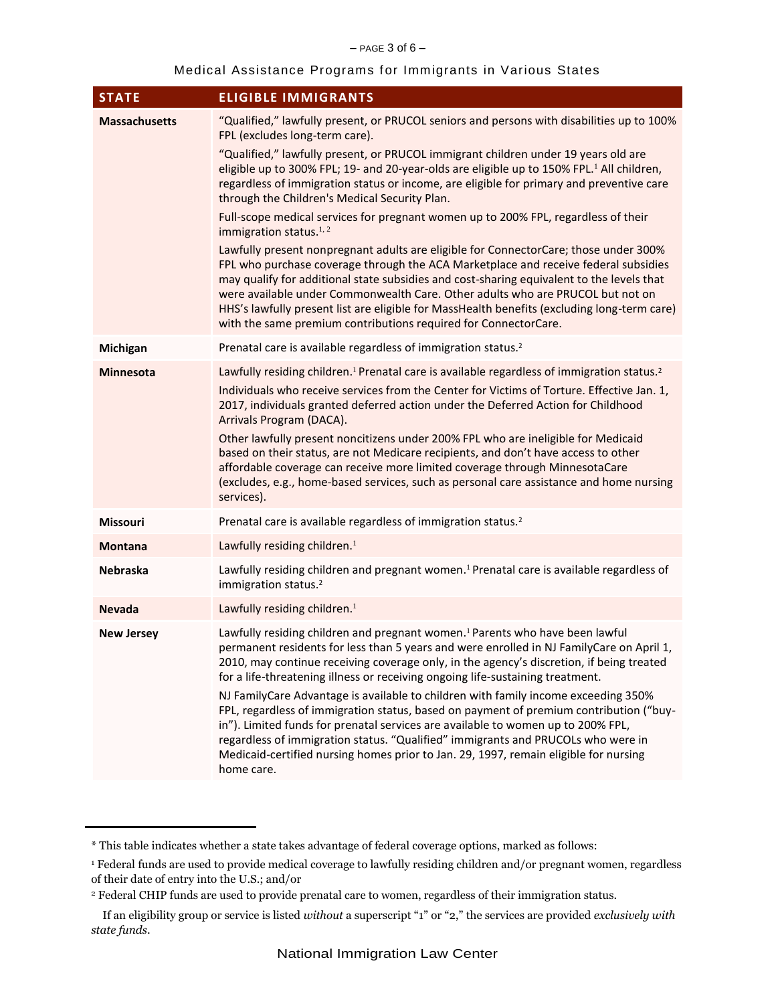## Medical Assistance Programs for Immigrants in Various States

| <b>STATE</b>         | <b>ELIGIBLE IMMIGRANTS</b>                                                                                                                                                                                                                                                                                                                                                                                                                                                                                                                                                                                                                                                                                                                                                                                                                                                                                                                                                                                                                                                                                                          |
|----------------------|-------------------------------------------------------------------------------------------------------------------------------------------------------------------------------------------------------------------------------------------------------------------------------------------------------------------------------------------------------------------------------------------------------------------------------------------------------------------------------------------------------------------------------------------------------------------------------------------------------------------------------------------------------------------------------------------------------------------------------------------------------------------------------------------------------------------------------------------------------------------------------------------------------------------------------------------------------------------------------------------------------------------------------------------------------------------------------------------------------------------------------------|
| <b>Massachusetts</b> | "Qualified," lawfully present, or PRUCOL seniors and persons with disabilities up to 100%<br>FPL (excludes long-term care).<br>"Qualified," lawfully present, or PRUCOL immigrant children under 19 years old are<br>eligible up to 300% FPL; 19- and 20-year-olds are eligible up to 150% FPL. <sup>1</sup> All children,<br>regardless of immigration status or income, are eligible for primary and preventive care<br>through the Children's Medical Security Plan.<br>Full-scope medical services for pregnant women up to 200% FPL, regardless of their<br>immigration status. <sup>1,2</sup><br>Lawfully present nonpregnant adults are eligible for ConnectorCare; those under 300%<br>FPL who purchase coverage through the ACA Marketplace and receive federal subsidies<br>may qualify for additional state subsidies and cost-sharing equivalent to the levels that<br>were available under Commonwealth Care. Other adults who are PRUCOL but not on<br>HHS's lawfully present list are eligible for MassHealth benefits (excluding long-term care)<br>with the same premium contributions required for ConnectorCare. |
| Michigan             | Prenatal care is available regardless of immigration status. <sup>2</sup>                                                                                                                                                                                                                                                                                                                                                                                                                                                                                                                                                                                                                                                                                                                                                                                                                                                                                                                                                                                                                                                           |
| <b>Minnesota</b>     | Lawfully residing children. <sup>1</sup> Prenatal care is available regardless of immigration status. <sup>2</sup><br>Individuals who receive services from the Center for Victims of Torture. Effective Jan. 1,<br>2017, individuals granted deferred action under the Deferred Action for Childhood<br>Arrivals Program (DACA).<br>Other lawfully present noncitizens under 200% FPL who are ineligible for Medicaid<br>based on their status, are not Medicare recipients, and don't have access to other<br>affordable coverage can receive more limited coverage through MinnesotaCare<br>(excludes, e.g., home-based services, such as personal care assistance and home nursing<br>services).                                                                                                                                                                                                                                                                                                                                                                                                                                |
| Missouri             | Prenatal care is available regardless of immigration status. <sup>2</sup>                                                                                                                                                                                                                                                                                                                                                                                                                                                                                                                                                                                                                                                                                                                                                                                                                                                                                                                                                                                                                                                           |
| <b>Montana</b>       | Lawfully residing children. <sup>1</sup>                                                                                                                                                                                                                                                                                                                                                                                                                                                                                                                                                                                                                                                                                                                                                                                                                                                                                                                                                                                                                                                                                            |
| <b>Nebraska</b>      | Lawfully residing children and pregnant women. <sup>1</sup> Prenatal care is available regardless of<br>immigration status. <sup>2</sup>                                                                                                                                                                                                                                                                                                                                                                                                                                                                                                                                                                                                                                                                                                                                                                                                                                                                                                                                                                                            |
| <b>Nevada</b>        | Lawfully residing children. <sup>1</sup>                                                                                                                                                                                                                                                                                                                                                                                                                                                                                                                                                                                                                                                                                                                                                                                                                                                                                                                                                                                                                                                                                            |
| <b>New Jersey</b>    | Lawfully residing children and pregnant women. <sup>1</sup> Parents who have been lawful<br>permanent residents for less than 5 years and were enrolled in NJ FamilyCare on April 1,<br>2010, may continue receiving coverage only, in the agency's discretion, if being treated<br>for a life-threatening illness or receiving ongoing life-sustaining treatment.<br>NJ FamilyCare Advantage is available to children with family income exceeding 350%<br>FPL, regardless of immigration status, based on payment of premium contribution ("buy-<br>in"). Limited funds for prenatal services are available to women up to 200% FPL,<br>regardless of immigration status. "Qualified" immigrants and PRUCOLs who were in<br>Medicaid-certified nursing homes prior to Jan. 29, 1997, remain eligible for nursing<br>home care.                                                                                                                                                                                                                                                                                                    |

<sup>\*</sup> This table indicates whether a state takes advantage of federal coverage options, marked as follows:

<sup>&</sup>lt;sup>1</sup> Federal funds are used to provide medical coverage to lawfully residing children and/or pregnant women, regardless of their date of entry into the U.S.; and/or

<sup>2</sup> Federal CHIP funds are used to provide prenatal care to women, regardless of their immigration status.

If an eligibility group or service is listed *without* a superscript "1" or "2," the services are provided *exclusively with state funds*.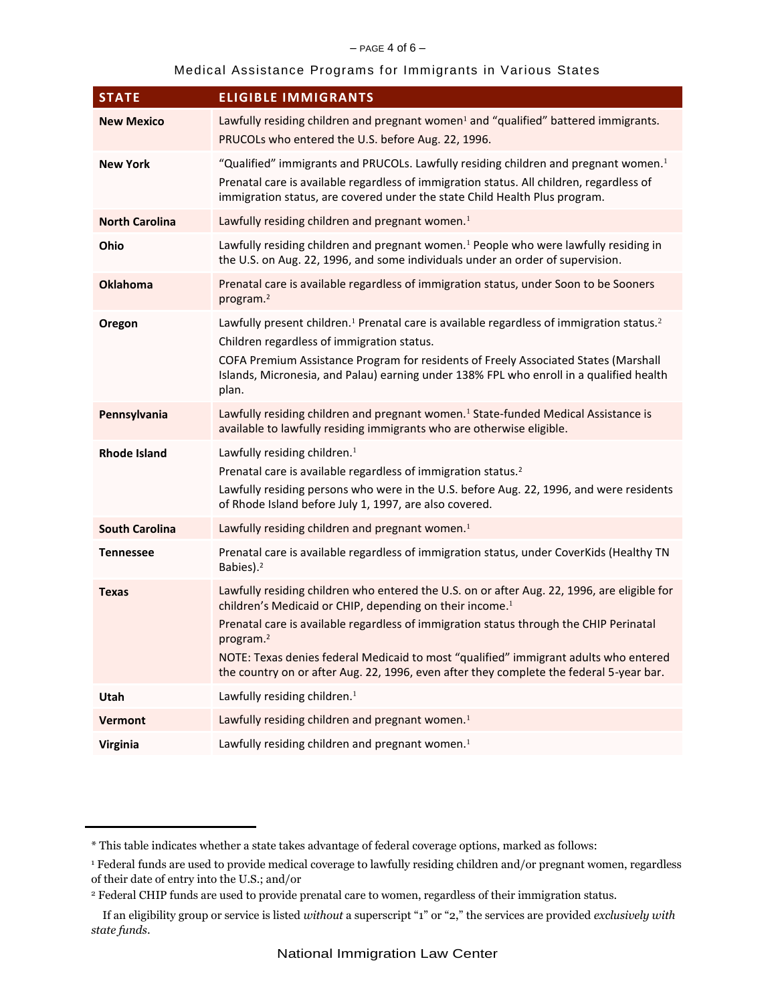#### $-$  PAGE 4 of 6 $-$

## Medical Assistance Programs for Immigrants in Various States

| <b>STATE</b>          | <b>ELIGIBLE IMMIGRANTS</b>                                                                                                                                                                                                                                                                                                                                                                                                                                                |
|-----------------------|---------------------------------------------------------------------------------------------------------------------------------------------------------------------------------------------------------------------------------------------------------------------------------------------------------------------------------------------------------------------------------------------------------------------------------------------------------------------------|
| <b>New Mexico</b>     | Lawfully residing children and pregnant women <sup>1</sup> and "qualified" battered immigrants.<br>PRUCOLs who entered the U.S. before Aug. 22, 1996.                                                                                                                                                                                                                                                                                                                     |
| <b>New York</b>       | "Qualified" immigrants and PRUCOLs. Lawfully residing children and pregnant women. <sup>1</sup><br>Prenatal care is available regardless of immigration status. All children, regardless of<br>immigration status, are covered under the state Child Health Plus program.                                                                                                                                                                                                 |
| <b>North Carolina</b> | Lawfully residing children and pregnant women. <sup>1</sup>                                                                                                                                                                                                                                                                                                                                                                                                               |
| Ohio                  | Lawfully residing children and pregnant women. <sup>1</sup> People who were lawfully residing in<br>the U.S. on Aug. 22, 1996, and some individuals under an order of supervision.                                                                                                                                                                                                                                                                                        |
| <b>Oklahoma</b>       | Prenatal care is available regardless of immigration status, under Soon to be Sooners<br>program. <sup>2</sup>                                                                                                                                                                                                                                                                                                                                                            |
| Oregon                | Lawfully present children. <sup>1</sup> Prenatal care is available regardless of immigration status. <sup>2</sup><br>Children regardless of immigration status.<br>COFA Premium Assistance Program for residents of Freely Associated States (Marshall<br>Islands, Micronesia, and Palau) earning under 138% FPL who enroll in a qualified health<br>plan.                                                                                                                |
| Pennsylvania          | Lawfully residing children and pregnant women. <sup>1</sup> State-funded Medical Assistance is<br>available to lawfully residing immigrants who are otherwise eligible.                                                                                                                                                                                                                                                                                                   |
| <b>Rhode Island</b>   | Lawfully residing children. <sup>1</sup><br>Prenatal care is available regardless of immigration status. <sup>2</sup><br>Lawfully residing persons who were in the U.S. before Aug. 22, 1996, and were residents<br>of Rhode Island before July 1, 1997, are also covered.                                                                                                                                                                                                |
| <b>South Carolina</b> | Lawfully residing children and pregnant women. <sup>1</sup>                                                                                                                                                                                                                                                                                                                                                                                                               |
| <b>Tennessee</b>      | Prenatal care is available regardless of immigration status, under CoverKids (Healthy TN<br>Babies). <sup>2</sup>                                                                                                                                                                                                                                                                                                                                                         |
| <b>Texas</b>          | Lawfully residing children who entered the U.S. on or after Aug. 22, 1996, are eligible for<br>children's Medicaid or CHIP, depending on their income. <sup>1</sup><br>Prenatal care is available regardless of immigration status through the CHIP Perinatal<br>program. <sup>2</sup><br>NOTE: Texas denies federal Medicaid to most "qualified" immigrant adults who entered<br>the country on or after Aug. 22, 1996, even after they complete the federal 5-year bar. |
| Utah                  | Lawfully residing children. <sup>1</sup>                                                                                                                                                                                                                                                                                                                                                                                                                                  |
| <b>Vermont</b>        | Lawfully residing children and pregnant women. <sup>1</sup>                                                                                                                                                                                                                                                                                                                                                                                                               |
| Virginia              | Lawfully residing children and pregnant women. <sup>1</sup>                                                                                                                                                                                                                                                                                                                                                                                                               |

<sup>\*</sup> This table indicates whether a state takes advantage of federal coverage options, marked as follows:

<sup>&</sup>lt;sup>1</sup> Federal funds are used to provide medical coverage to lawfully residing children and/or pregnant women, regardless of their date of entry into the U.S.; and/or

<sup>2</sup> Federal CHIP funds are used to provide prenatal care to women, regardless of their immigration status.

If an eligibility group or service is listed *without* a superscript "1" or "2," the services are provided *exclusively with state funds*.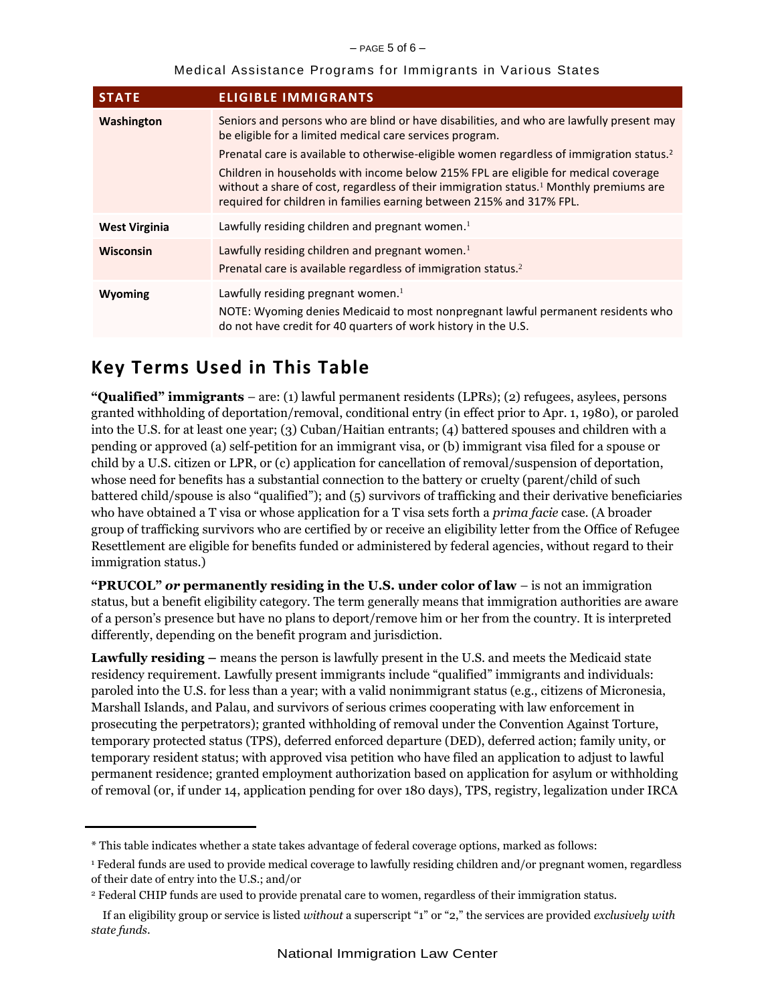| Medical Assistance Programs for Immigrants in Various States |  |  |  |
|--------------------------------------------------------------|--|--|--|
|--------------------------------------------------------------|--|--|--|

| <b>STATE</b>         | <b>ELIGIBLE IMMIGRANTS</b>                                                                                                                                                                                                                                                                                                                                                                                                                                                                                                         |
|----------------------|------------------------------------------------------------------------------------------------------------------------------------------------------------------------------------------------------------------------------------------------------------------------------------------------------------------------------------------------------------------------------------------------------------------------------------------------------------------------------------------------------------------------------------|
| Washington           | Seniors and persons who are blind or have disabilities, and who are lawfully present may<br>be eligible for a limited medical care services program.<br>Prenatal care is available to otherwise-eligible women regardless of immigration status. <sup>2</sup><br>Children in households with income below 215% FPL are eligible for medical coverage<br>without a share of cost, regardless of their immigration status. <sup>1</sup> Monthly premiums are<br>required for children in families earning between 215% and 317% FPL. |
| <b>West Virginia</b> | Lawfully residing children and pregnant women. <sup>1</sup>                                                                                                                                                                                                                                                                                                                                                                                                                                                                        |
| <b>Wisconsin</b>     | Lawfully residing children and pregnant women. <sup>1</sup><br>Prenatal care is available regardless of immigration status. <sup>2</sup>                                                                                                                                                                                                                                                                                                                                                                                           |
| Wyoming              | Lawfully residing pregnant women. $1$<br>NOTE: Wyoming denies Medicaid to most nonpregnant lawful permanent residents who<br>do not have credit for 40 quarters of work history in the U.S.                                                                                                                                                                                                                                                                                                                                        |

# **Key Terms Used in This Table**

**"Qualified" immigrants** – are: (1) lawful permanent residents (LPRs); (2) refugees, asylees, persons granted withholding of deportation/removal, conditional entry (in effect prior to Apr. 1, 1980), or paroled into the U.S. for at least one year; (3) Cuban/Haitian entrants; (4) battered spouses and children with a pending or approved (a) self-petition for an immigrant visa, or (b) immigrant visa filed for a spouse or child by a U.S. citizen or LPR, or (c) application for cancellation of removal/suspension of deportation, whose need for benefits has a substantial connection to the battery or cruelty (parent/child of such battered child/spouse is also "qualified"); and (5) survivors of trafficking and their derivative beneficiaries who have obtained a T visa or whose application for a T visa sets forth a *prima facie* case. (A broader group of trafficking survivors who are certified by or receive an eligibility letter from the Office of Refugee Resettlement are eligible for benefits funded or administered by federal agencies, without regard to their immigration status.)

**"PRUCOL"** *or* **permanently residing in the U.S. under color of law** – is not an immigration status, but a benefit eligibility category. The term generally means that immigration authorities are aware of a person's presence but have no plans to deport/remove him or her from the country. It is interpreted differently, depending on the benefit program and jurisdiction.

**Lawfully residing –** means the person is lawfully present in the U.S. and meets the Medicaid state residency requirement. Lawfully present immigrants include "qualified" immigrants and individuals: paroled into the U.S. for less than a year; with a valid nonimmigrant status (e.g., citizens of Micronesia, Marshall Islands, and Palau, and survivors of serious crimes cooperating with law enforcement in prosecuting the perpetrators); granted withholding of removal under the Convention Against Torture, temporary protected status (TPS), deferred enforced departure (DED), deferred action; family unity, or temporary resident status; with approved visa petition who have filed an application to adjust to lawful permanent residence; granted employment authorization based on application for asylum or withholding of removal (or, if under 14, application pending for over 180 days), TPS, registry, legalization under IRCA

<sup>\*</sup> This table indicates whether a state takes advantage of federal coverage options, marked as follows:

<sup>1</sup> Federal funds are used to provide medical coverage to lawfully residing children and/or pregnant women, regardless of their date of entry into the U.S.; and/or

<sup>2</sup> Federal CHIP funds are used to provide prenatal care to women, regardless of their immigration status.

If an eligibility group or service is listed *without* a superscript "1" or "2," the services are provided *exclusively with state funds*.